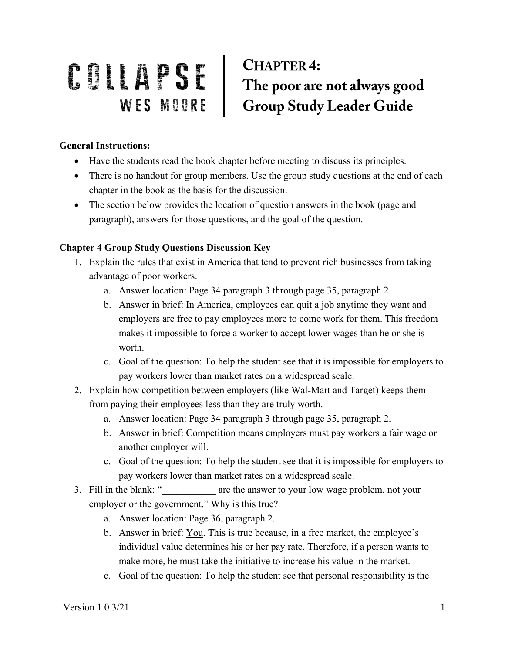## COLLAPSE CHAPTER4:<br>WES MOORE Group Study Leader Guide **CHAPTER 4:**

## **General Instructions:**

- Have the students read the book chapter before meeting to discuss its principles.
- There is no handout for group members. Use the group study questions at the end of each chapter in the book as the basis for the discussion.
- The section below provides the location of question answers in the book (page and paragraph), answers for those questions, and the goal of the question.

## **Chapter 4 Group Study Questions Discussion Key**

- 1. Explain the rules that exist in America that tend to prevent rich businesses from taking advantage of poor workers.
	- a. Answer location: Page 34 paragraph 3 through page 35, paragraph 2.
	- b. Answer in brief: In America, employees can quit a job anytime they want and employers are free to pay employees more to come work for them. This freedom makes it impossible to force a worker to accept lower wages than he or she is worth.
	- c. Goal of the question: To help the student see that it is impossible for employers to pay workers lower than market rates on a widespread scale.
- 2. Explain how competition between employers (like Wal-Mart and Target) keeps them from paying their employees less than they are truly worth.
	- a. Answer location: Page 34 paragraph 3 through page 35, paragraph 2.
	- b. Answer in brief: Competition means employers must pay workers a fair wage or another employer will.
	- c. Goal of the question: To help the student see that it is impossible for employers to pay workers lower than market rates on a widespread scale.
- 3. Fill in the blank: " are the answer to your low wage problem, not your employer or the government." Why is this true?
	- a. Answer location: Page 36, paragraph 2.
	- b. Answer in brief: You. This is true because, in a free market, the employee's individual value determines his or her pay rate. Therefore, if a person wants to make more, he must take the initiative to increase his value in the market.
	- c. Goal of the question: To help the student see that personal responsibility is the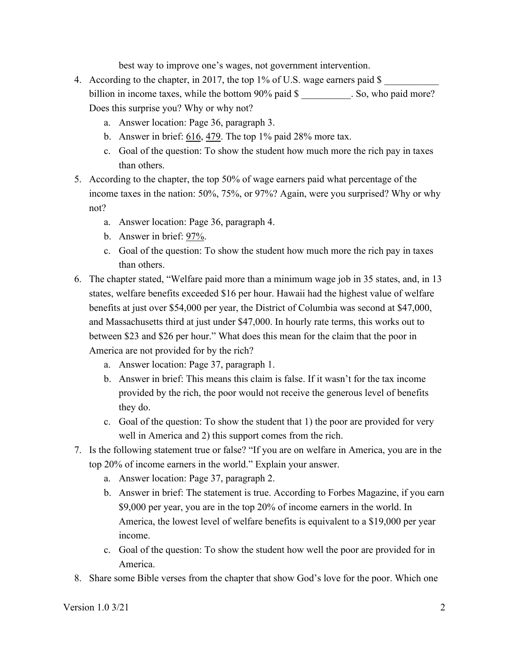best way to improve one's wages, not government intervention.

- 4. According to the chapter, in 2017, the top 1% of U.S. wage earners paid \$ billion in income taxes, while the bottom 90% paid \$ \_\_\_\_\_\_\_\_\_. So, who paid more? Does this surprise you? Why or why not?
	- a. Answer location: Page 36, paragraph 3.
	- b. Answer in brief: 616, 479. The top 1% paid 28% more tax.
	- c. Goal of the question: To show the student how much more the rich pay in taxes than others.
- 5. According to the chapter, the top 50% of wage earners paid what percentage of the income taxes in the nation: 50%, 75%, or 97%? Again, were you surprised? Why or why not?
	- a. Answer location: Page 36, paragraph 4.
	- b. Answer in brief: 97%.
	- c. Goal of the question: To show the student how much more the rich pay in taxes than others.
- 6. The chapter stated, "Welfare paid more than a minimum wage job in 35 states, and, in 13 states, welfare benefits exceeded \$16 per hour. Hawaii had the highest value of welfare benefits at just over \$54,000 per year, the District of Columbia was second at \$47,000, and Massachusetts third at just under \$47,000. In hourly rate terms, this works out to between \$23 and \$26 per hour." What does this mean for the claim that the poor in America are not provided for by the rich?
	- a. Answer location: Page 37, paragraph 1.
	- b. Answer in brief: This means this claim is false. If it wasn't for the tax income provided by the rich, the poor would not receive the generous level of benefits they do.
	- c. Goal of the question: To show the student that 1) the poor are provided for very well in America and 2) this support comes from the rich.
- 7. Is the following statement true or false? "If you are on welfare in America, you are in the top 20% of income earners in the world." Explain your answer.
	- a. Answer location: Page 37, paragraph 2.
	- b. Answer in brief: The statement is true. According to Forbes Magazine, if you earn \$9,000 per year, you are in the top 20% of income earners in the world. In America, the lowest level of welfare benefits is equivalent to a \$19,000 per year income.
	- c. Goal of the question: To show the student how well the poor are provided for in America.
- 8. Share some Bible verses from the chapter that show God's love for the poor. Which one